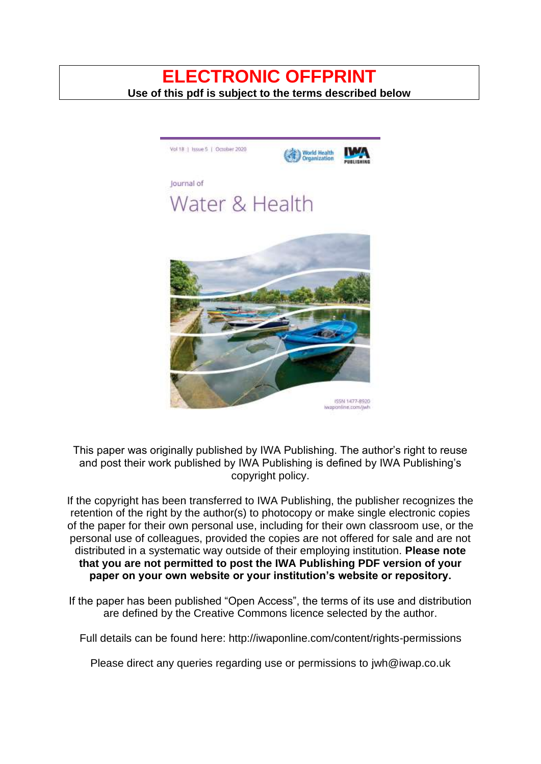# **ELECTRONIC OFFPRINT Use of this pdf is subject to the terms described below**



This paper was originally published by IWA Publishing. The author's right to reuse and post their work published by IWA Publishing is defined by IWA Publishing's copyright policy.

If the copyright has been transferred to IWA Publishing, the publisher recognizes the retention of the right by the author(s) to photocopy or make single electronic copies of the paper for their own personal use, including for their own classroom use, or the personal use of colleagues, provided the copies are not offered for sale and are not distributed in a systematic way outside of their employing institution. **Please note that you are not permitted to post the IWA Publishing PDF version of your paper on your own website or your institution's website or repository.**

If the paper has been published "Open Access", the terms of its use and distribution are defined by the Creative Commons licence selected by the author.

Full details can be found here: http://iwaponline.com/content/rights-permissions

Please direct any queries regarding use or permissions to jwh@iwap.co.uk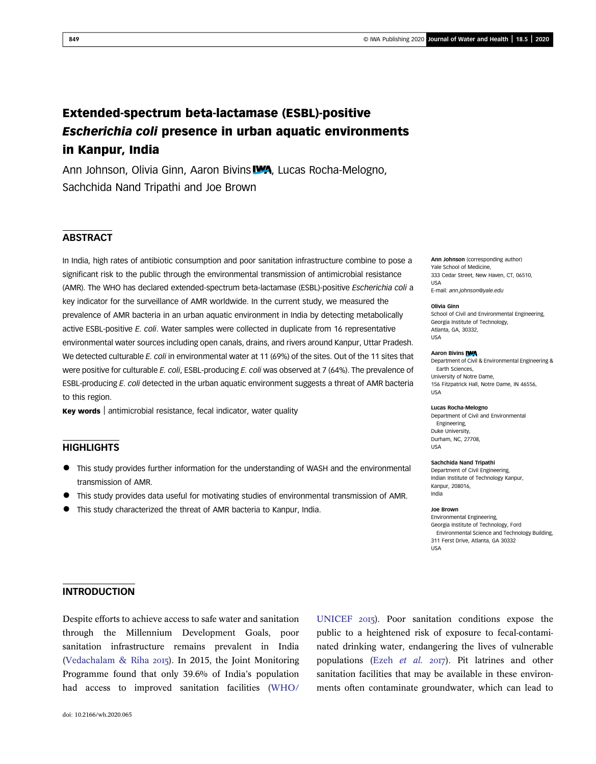# Extended-spectrum beta-lactamase (ESBL)-positive Escherichia coli presence in urban aquatic environments in Kanpur, India

Ann Johnson, Olivia Ginn, Aaron Bivins **WA**, Lucas Rocha-Melogno, Sachchida Nand Tripathi and Joe Brown

# **ABSTRACT**

In India, high rates of antibiotic consumption and poor sanitation infrastructure combine to pose a significant risk to the public through the environmental transmission of antimicrobial resistance (AMR). The WHO has declared extended-spectrum beta-lactamase (ESBL)-positive Escherichia coli a key indicator for the surveillance of AMR worldwide. In the current study, we measured the prevalence of AMR bacteria in an urban aquatic environment in India by detecting metabolically active ESBL-positive E. coli. Water samples were collected in duplicate from 16 representative environmental water sources including open canals, drains, and rivers around Kanpur, Uttar Pradesh. We detected culturable E. coli in environmental water at 11 (69%) of the sites. Out of the 11 sites that were positive for culturable E. coli, ESBL-producing E. coli was observed at 7 (64%). The prevalence of ESBL-producing E. coli detected in the urban aquatic environment suggests a threat of AMR bacteria to this region.

Key words | antimicrobial resistance, fecal indicator, water quality

## **HIGHLIGHTS**

- This study provides further information for the understanding of WASH and the environmental transmission of AMR.
- This study provides data useful for motivating studies of environmental transmission of AMR.
- This study characterized the threat of AMR bacteria to Kanpur, India.

#### Ann Johnson (corresponding author) Yale School of Medicine, 333 Cedar Street, New Haven, CT, 06510, USA E-mail: [ann.johnson@yale.edu](mailto:ann.johnson@yale.edu)

#### Olivia Ginn

School of Civil and Environmental Engineering, Georgia Institute of Technology, Atlanta, GA, 30332, USA

## **Aaron Bivins IWA**

Department of Civil & Environmental Engineering & Earth Sciences, University of Notre Dame, 156 Fitzpatrick Hall, Notre Dame, IN 46556, USA

#### Lucas Rocha-Melogno

Department of Civil and Environmental Engineering, Duke University, Durham, NC, 27708, USA

#### Sachchida Nand Tripathi

Department of Civil Engineering, Indian Institute of Technology Kanpur, Kanpur, 208016, India

#### Joe Brown

Environmental Engineering, Georgia Institute of Technology, Ford Environmental Science and Technology Building, 311 Ferst Drive, Atlanta, GA 30332 USA

## INTRODUCTION

Despite efforts to achieve access to safe water and sanitation through the Millennium Development Goals, poor sanitation infrastructure remains prevalent in India [\(Vedachalam & Riha](#page-6-0)  $2015$ ). In 2015, the Joint Monitoring Programme found that only 39.6% of India's population had access to improved sanitation facilities [\(WHO/](#page-6-0)

doi: 10.2166/wh.2020.065

public to a heightened risk of exposure to fecal-contaminated drinking water, endangering the lives of vulnerable populations (Ezeh [et al.](#page-6-0)  $2017$ ). Pit latrines and other sanitation facilities that may be available in these environments often contaminate groundwater, which can lead to

[UNICEF](#page-6-0) 2015). Poor sanitation conditions expose the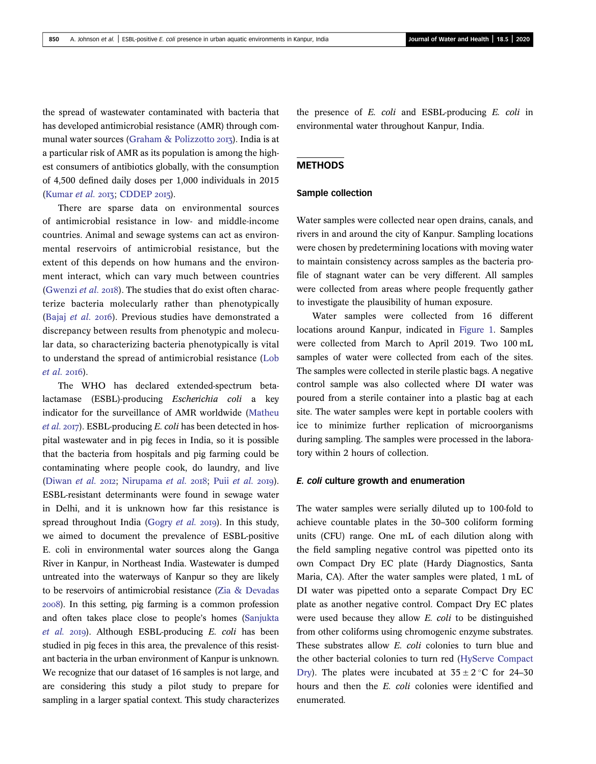the spread of wastewater contaminated with bacteria that has developed antimicrobial resistance (AMR) through com-munal water sources [\(Graham & Polizzotto](#page-6-0) 2013). India is at a particular risk of AMR as its population is among the highest consumers of antibiotics globally, with the consumption of 4,500 defined daily doses per 1,000 individuals in 2015 ([Kumar](#page-6-0) et al. 2013; [CDDEP](#page-6-0) 2015).

There are sparse data on environmental sources of antimicrobial resistance in low- and middle-income countries. Animal and sewage systems can act as environmental reservoirs of antimicrobial resistance, but the extent of this depends on how humans and the environment interact, which can vary much between countries ([Gwenzi](#page-6-0) et al.  $2018$ ). The studies that do exist often characterize bacteria molecularly rather than phenotypically (Bajaj [et al.](#page-6-0) 2016). Previous studies have demonstrated a discrepancy between results from phenotypic and molecular data, so characterizing bacteria phenotypically is vital to understand the spread of antimicrobial resistance ([Lob](#page-6-0)  $et$  al. 2016).

The WHO has declared extended-spectrum betalactamase (ESBL)-producing Escherichia coli a key indicator for the surveillance of AMR worldwide [\(Matheu](#page-6-0)  $et$  al. 2017). ESBL-producing E. coli has been detected in hospital wastewater and in pig feces in India, so it is possible that the bacteria from hospitals and pig farming could be contaminating where people cook, do laundry, and live ([Diwan](#page-6-0) et al. 2012; [Nirupama](#page-6-0) [et al.](#page-6-0) 2018; Puii et al. 2019). ESBL-resistant determinants were found in sewage water in Delhi, and it is unknown how far this resistance is spread throughout India [\(Gogry](#page-6-0)  $et$  al. 2019). In this study, we aimed to document the prevalence of ESBL-positive E. coli in environmental water sources along the Ganga River in Kanpur, in Northeast India. Wastewater is dumped untreated into the waterways of Kanpur so they are likely to be reservoirs of antimicrobial resistance ([Zia & Devadas](#page-6-0) ). In this setting, pig farming is a common profession and often takes place close to people's homes [\(Sanjukta](#page-6-0) [et al.](#page-6-0)  $20I9$ ). Although ESBL-producing E. coli has been studied in pig feces in this area, the prevalence of this resistant bacteria in the urban environment of Kanpur is unknown. We recognize that our dataset of 16 samples is not large, and are considering this study a pilot study to prepare for sampling in a larger spatial context. This study characterizes the presence of E. coli and ESBL-producing E. coli in environmental water throughout Kanpur, India.

## **METHODS**

### Sample collection

Water samples were collected near open drains, canals, and rivers in and around the city of Kanpur. Sampling locations were chosen by predetermining locations with moving water to maintain consistency across samples as the bacteria profile of stagnant water can be very different. All samples were collected from areas where people frequently gather to investigate the plausibility of human exposure.

Water samples were collected from 16 different locations around Kanpur, indicated in [Figure 1.](#page-3-0) Samples were collected from March to April 2019. Two 100 mL samples of water were collected from each of the sites. The samples were collected in sterile plastic bags. A negative control sample was also collected where DI water was poured from a sterile container into a plastic bag at each site. The water samples were kept in portable coolers with ice to minimize further replication of microorganisms during sampling. The samples were processed in the laboratory within 2 hours of collection.

#### E. coli culture growth and enumeration

The water samples were serially diluted up to 100-fold to achieve countable plates in the 30–300 coliform forming units (CFU) range. One mL of each dilution along with the field sampling negative control was pipetted onto its own Compact Dry EC plate (Hardy Diagnostics, Santa Maria, CA). After the water samples were plated, 1 mL of DI water was pipetted onto a separate Compact Dry EC plate as another negative control. Compact Dry EC plates were used because they allow E. coli to be distinguished from other coliforms using chromogenic enzyme substrates. These substrates allow E. coli colonies to turn blue and the other bacterial colonies to turn red ([HyServe Compact](#page-6-0) [Dry\)](#page-6-0). The plates were incubated at  $35 \pm 2$  °C for 24–30 hours and then the E. coli colonies were identified and enumerated.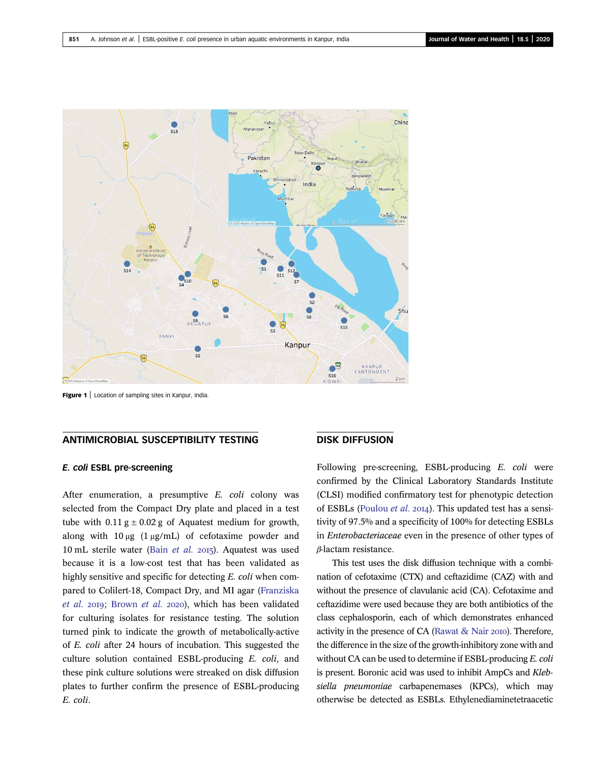<span id="page-3-0"></span>

Figure 1 | Location of sampling sites in Kanpur, India.

## ANTIMICROBIAL SUSCEPTIBILITY TESTING

### E. coli ESBL pre-screening

After enumeration, a presumptive E. coli colony was selected from the Compact Dry plate and placed in a test tube with  $0.11$  g  $\pm$  0.02 g of Aquatest medium for growth, along with 10 μg (1 μg/mL) of cefotaxime powder and 10 mL sterile water (Bain [et al.](#page-5-0)  $2015$ ). Aquatest was used because it is a low-cost test that has been validated as highly sensitive and specific for detecting E. coli when compared to Colilert-18, Compact Dry, and MI agar [\(Franziska](#page-6-0) [et al.](#page-6-0) 2019; [Brown](#page-6-0) et al. 2020), which has been validated for culturing isolates for resistance testing. The solution turned pink to indicate the growth of metabolically-active of E. coli after 24 hours of incubation. This suggested the culture solution contained ESBL-producing E. coli, and these pink culture solutions were streaked on disk diffusion plates to further confirm the presence of ESBL-producing E. coli.

# DISK DIFFUSION

Following pre-screening, ESBL-producing E. coli were confirmed by the Clinical Laboratory Standards Institute (CLSI) modified confirmatory test for phenotypic detection of ESBLs [\(Poulou](#page-6-0) et al. 2014). This updated test has a sensitivity of 97.5% and a specificity of 100% for detecting ESBLs in Enterobacteriaceae even in the presence of other types of β-lactam resistance.

This test uses the disk diffusion technique with a combination of cefotaxime (CTX) and ceftazidime (CAZ) with and without the presence of clavulanic acid (CA). Cefotaxime and ceftazidime were used because they are both antibiotics of the class cephalosporin, each of which demonstrates enhanced activity in the presence of CA (Rawat  $\&$  Nair 2010). Therefore, the difference in the size of the growth-inhibitory zone with and without CA can be used to determine if ESBL-producing E. coli is present. Boronic acid was used to inhibit AmpCs and Klebsiella pneumoniae carbapenemases (KPCs), which may otherwise be detected as ESBLs. Ethylenediaminetetraacetic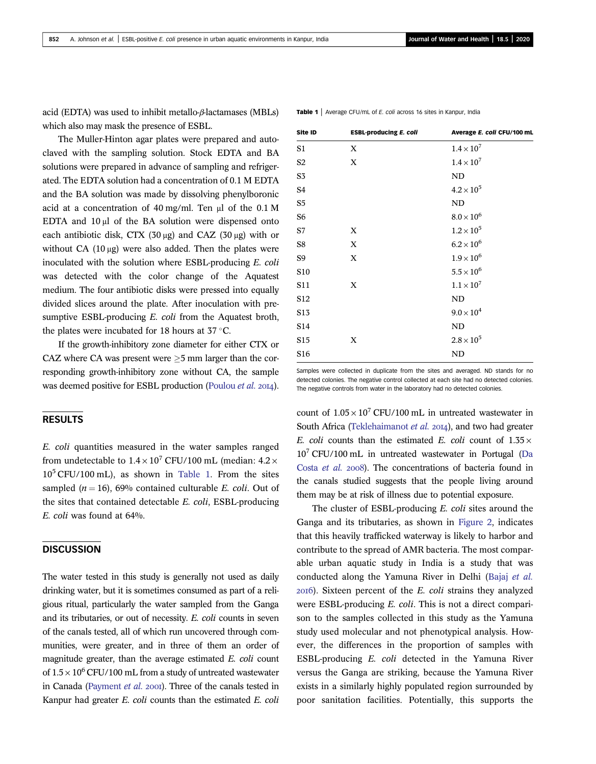acid (EDTA) was used to inhibit metallo-β-lactamases (MBLs) which also may mask the presence of ESBL.

The Muller-Hinton agar plates were prepared and autoclaved with the sampling solution. Stock EDTA and BA solutions were prepared in advance of sampling and refrigerated. The EDTA solution had a concentration of 0.1 M EDTA and the BA solution was made by dissolving phenylboronic acid at a concentration of 40 mg/ml. Ten μl of the 0.1 M EDTA and 10 μl of the BA solution were dispensed onto each antibiotic disk, CTX (30 μg) and CAZ (30 μg) with or without CA  $(10 \mu g)$  were also added. Then the plates were inoculated with the solution where ESBL-producing E. coli was detected with the color change of the Aquatest medium. The four antibiotic disks were pressed into equally divided slices around the plate. After inoculation with presumptive ESBL-producing E. coli from the Aquatest broth, the plates were incubated for 18 hours at  $37^{\circ}$ C.

If the growth-inhibitory zone diameter for either CTX or CAZ where CA was present were  $>5$  mm larger than the corresponding growth-inhibitory zone without CA, the sample was deemed positive for ESBL production [\(Poulou](#page-6-0) et al. 2014).

## RESULTS

E. coli quantities measured in the water samples ranged from undetectable to  $1.4 \times 10^7$  CFU/100 mL (median:  $4.2 \times$  $10^5$  CFU/100 mL), as shown in Table 1. From the sites sampled ( $n = 16$ ), 69% contained culturable E. coli. Out of the sites that contained detectable E. coli, ESBL-producing E. coli was found at 64%.

# **DISCUSSION**

The water tested in this study is generally not used as daily drinking water, but it is sometimes consumed as part of a religious ritual, particularly the water sampled from the Ganga and its tributaries, or out of necessity. E. coli counts in seven of the canals tested, all of which run uncovered through communities, were greater, and in three of them an order of magnitude greater, than the average estimated E. coli count of  $1.5 \times 10^6$  CFU/100 mL from a study of untreated wastewater in Canada [\(Payment](#page-6-0) et al. 2001). Three of the canals tested in Kanpur had greater E. coli counts than the estimated E. coli

| Site ID         | <b>ESBL-producing E. coli</b> | Average E. coli CFU/100 mL |
|-----------------|-------------------------------|----------------------------|
| S1              | X                             | $1.4 \times 10^{7}$        |
| S <sub>2</sub>  | X                             | $1.4 \times 10^{7}$        |
| S3              |                               | <b>ND</b>                  |
| S <sub>4</sub>  |                               | $4.2 \times 10^{5}$        |
| S <sub>5</sub>  |                               | <b>ND</b>                  |
| S <sub>6</sub>  |                               | $8.0 \times 10^{6}$        |
| S7              | X                             | $1.2\times10^5$            |
| S8              | X                             | $6.2\times10^6$            |
| S9              | X                             | $1.9 \times 10^{6}$        |
| S10             |                               | $5.5 \times 10^{6}$        |
| S11             | X                             | $1.1 \times 10^{7}$        |
| S <sub>12</sub> |                               | <b>ND</b>                  |
| S <sub>13</sub> |                               | $9.0 \times 10^{4}$        |
| S14             |                               | <b>ND</b>                  |
| S <sub>15</sub> | X                             | $2.8 \times 10^{5}$        |
| S <sub>16</sub> |                               | <b>ND</b>                  |

Table 1 | Average CFU/mL of E. coli across 16 sites in Kanpur, India

Samples were collected in duplicate from the sites and averaged. ND stands for no detected colonies. The negative control collected at each site had no detected colonies. The negative controls from water in the laboratory had no detected colonies.

count of  $1.05 \times 10^7$  CFU/100 mL in untreated wastewater in South Africa [\(Teklehaimanot](#page-6-0) et al. 2014), and two had greater E. coli counts than the estimated E. coli count of  $1.35 \times$ 107 CFU/100 mL in untreated wastewater in Portugal ([Da](#page-6-0) [Costa](#page-6-0) et al. 2008). The concentrations of bacteria found in the canals studied suggests that the people living around them may be at risk of illness due to potential exposure.

The cluster of ESBL-producing E. coli sites around the Ganga and its tributaries, as shown in [Figure 2](#page-5-0), indicates that this heavily trafficked waterway is likely to harbor and contribute to the spread of AMR bacteria. The most comparable urban aquatic study in India is a study that was conducted along the Yamuna River in Delhi [\(Bajaj](#page-6-0) et al. ). Sixteen percent of the E. coli strains they analyzed were ESBL-producing E. coli. This is not a direct comparison to the samples collected in this study as the Yamuna study used molecular and not phenotypical analysis. However, the differences in the proportion of samples with ESBL-producing E. coli detected in the Yamuna River versus the Ganga are striking, because the Yamuna River exists in a similarly highly populated region surrounded by poor sanitation facilities. Potentially, this supports the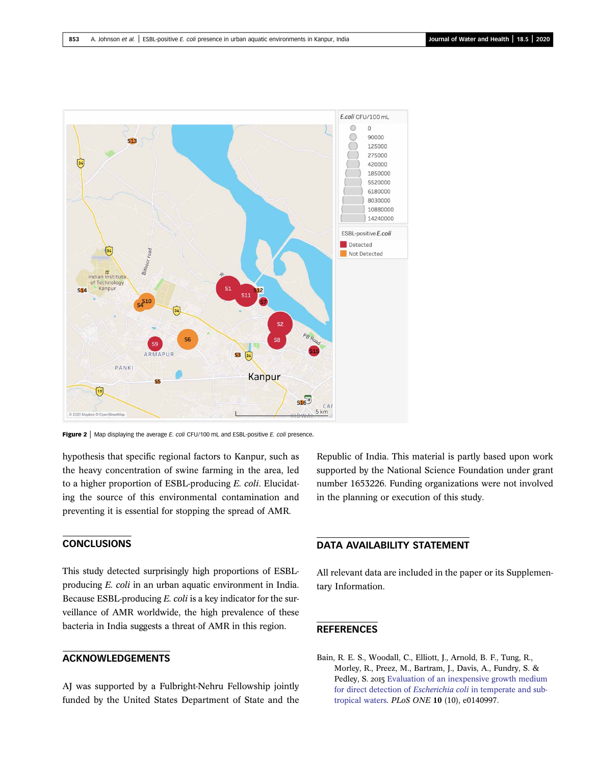<span id="page-5-0"></span>

Figure  $2$  | Map displaying the average E. coli CFU/100 mL and ESBL-positive E. coli presence.

hypothesis that specific regional factors to Kanpur, such as the heavy concentration of swine farming in the area, led to a higher proportion of ESBL-producing E. coli. Elucidating the source of this environmental contamination and preventing it is essential for stopping the spread of AMR.

**CONCLUSIONS** 

This study detected surprisingly high proportions of ESBLproducing E. coli in an urban aquatic environment in India. Because ESBL-producing E. coli is a key indicator for the surveillance of AMR worldwide, the high prevalence of these bacteria in India suggests a threat of AMR in this region.

# ACKNOWLEDGEMENTS

AJ was supported by a Fulbright-Nehru Fellowship jointly funded by the United States Department of State and the Republic of India. This material is partly based upon work supported by the National Science Foundation under grant number 1653226. Funding organizations were not involved in the planning or execution of this study.

# DATA AVAILABILITY STATEMENT

All relevant data are included in the paper or its Supplementary Information.

# **REFERENCES**

Bain, R. E. S., Woodall, C., Elliott, J., Arnold, B. F., Tung, R., Morley, R., Preez, M., Bartram, J., Davis, A., Fundry, S. & Pedley, S. 2015 [Evaluation of an inexpensive growth medium](http://dx.doi.org/10.1371/journal.pone.0140997) [for direct detection of](http://dx.doi.org/10.1371/journal.pone.0140997) Escherichia coli in temperate and sub[tropical waters.](http://dx.doi.org/10.1371/journal.pone.0140997) PLoS ONE 10 (10), e0140997.